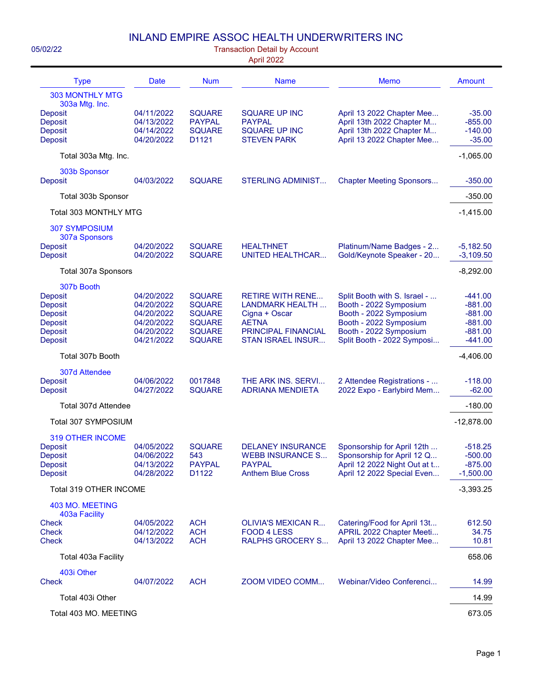## INLAND EMPIRE ASSOC HEALTH UNDERWRITERS INC

| 05/02/22<br><b>Transaction Detail by Account</b><br>April 2022                                                  |                                                                                  |                                                                                                    |                                                                                                                                              |                                                                                                                                                                    |                                                                            |  |
|-----------------------------------------------------------------------------------------------------------------|----------------------------------------------------------------------------------|----------------------------------------------------------------------------------------------------|----------------------------------------------------------------------------------------------------------------------------------------------|--------------------------------------------------------------------------------------------------------------------------------------------------------------------|----------------------------------------------------------------------------|--|
| <b>Type</b>                                                                                                     | <b>Date</b>                                                                      | <b>Num</b>                                                                                         | <b>Name</b>                                                                                                                                  | <b>Memo</b>                                                                                                                                                        | <b>Amount</b>                                                              |  |
| <b>303 MONTHLY MTG</b><br>303a Mtg. Inc.<br><b>Deposit</b><br>Deposit<br><b>Deposit</b><br><b>Deposit</b>       | 04/11/2022<br>04/13/2022<br>04/14/2022<br>04/20/2022                             | <b>SQUARE</b><br><b>PAYPAL</b><br><b>SQUARE</b><br>D1121                                           | <b>SQUARE UP INC</b><br><b>PAYPAL</b><br><b>SQUARE UP INC</b><br><b>STEVEN PARK</b>                                                          | April 13 2022 Chapter Mee<br>April 13th 2022 Chapter M<br>April 13th 2022 Chapter M<br>April 13 2022 Chapter Mee                                                   | $-35.00$<br>$-855.00$<br>$-140.00$<br>$-35.00$                             |  |
| Total 303a Mtg. Inc.                                                                                            |                                                                                  |                                                                                                    |                                                                                                                                              |                                                                                                                                                                    | $-1,065.00$                                                                |  |
| 303b Sponsor<br><b>Deposit</b>                                                                                  | 04/03/2022                                                                       | <b>SQUARE</b>                                                                                      | <b>STERLING ADMINIST</b>                                                                                                                     | <b>Chapter Meeting Sponsors</b>                                                                                                                                    | $-350.00$                                                                  |  |
| Total 303b Sponsor                                                                                              |                                                                                  |                                                                                                    |                                                                                                                                              |                                                                                                                                                                    | $-350.00$                                                                  |  |
| Total 303 MONTHLY MTG                                                                                           |                                                                                  |                                                                                                    |                                                                                                                                              |                                                                                                                                                                    | $-1,415.00$                                                                |  |
| <b>307 SYMPOSIUM</b><br>307a Sponsors                                                                           |                                                                                  |                                                                                                    |                                                                                                                                              |                                                                                                                                                                    |                                                                            |  |
| <b>Deposit</b><br><b>Deposit</b>                                                                                | 04/20/2022<br>04/20/2022                                                         | <b>SQUARE</b><br><b>SQUARE</b>                                                                     | <b>HEALTHNET</b><br><b>UNITED HEALTHCAR</b>                                                                                                  | Platinum/Name Badges - 2<br>Gold/Keynote Speaker - 20                                                                                                              | $-5,182.50$<br>$-3,109.50$                                                 |  |
| Total 307a Sponsors                                                                                             |                                                                                  |                                                                                                    |                                                                                                                                              |                                                                                                                                                                    | $-8,292.00$                                                                |  |
| 307b Booth<br><b>Deposit</b><br><b>Deposit</b><br>Deposit<br><b>Deposit</b><br><b>Deposit</b><br><b>Deposit</b> | 04/20/2022<br>04/20/2022<br>04/20/2022<br>04/20/2022<br>04/20/2022<br>04/21/2022 | <b>SQUARE</b><br><b>SQUARE</b><br><b>SQUARE</b><br><b>SQUARE</b><br><b>SQUARE</b><br><b>SQUARE</b> | <b>RETIRE WITH RENE</b><br><b>LANDMARK HEALTH</b><br>Cigna + Oscar<br><b>AETNA</b><br><b>PRINCIPAL FINANCIAL</b><br><b>STAN ISRAEL INSUR</b> | Split Booth with S. Israel -<br>Booth - 2022 Symposium<br>Booth - 2022 Symposium<br>Booth - 2022 Symposium<br>Booth - 2022 Symposium<br>Split Booth - 2022 Symposi | $-441.00$<br>$-881.00$<br>$-881.00$<br>$-881.00$<br>$-881.00$<br>$-441.00$ |  |
| Total 307b Booth                                                                                                |                                                                                  |                                                                                                    |                                                                                                                                              |                                                                                                                                                                    | $-4,406.00$                                                                |  |
| 307d Attendee<br><b>Deposit</b><br><b>Deposit</b>                                                               | 04/06/2022<br>04/27/2022                                                         | 0017848<br><b>SQUARE</b>                                                                           | THE ARK INS. SERVI<br><b>ADRIANA MENDIETA</b>                                                                                                | 2 Attendee Registrations -<br>2022 Expo - Earlybird Mem                                                                                                            | $-118.00$<br>$-62.00$                                                      |  |
| Total 307d Attendee                                                                                             |                                                                                  |                                                                                                    |                                                                                                                                              |                                                                                                                                                                    | $-180.00$                                                                  |  |
| Total 307 SYMPOSIUM                                                                                             |                                                                                  |                                                                                                    |                                                                                                                                              |                                                                                                                                                                    | $-12,878.00$                                                               |  |
| 319 OTHER INCOME<br><b>Deposit</b><br><b>Deposit</b><br>Deposit<br><b>Deposit</b>                               | 04/05/2022<br>04/06/2022<br>04/13/2022<br>04/28/2022                             | <b>SQUARE</b><br>543<br><b>PAYPAL</b><br>D1122                                                     | <b>DELANEY INSURANCE</b><br><b>WEBB INSURANCE S</b><br><b>PAYPAL</b><br><b>Anthem Blue Cross</b>                                             | Sponsorship for April 12th<br>Sponsorship for April 12 Q<br>April 12 2022 Night Out at t<br>April 12 2022 Special Even                                             | $-518.25$<br>$-500.00$<br>$-875.00$<br>$-1,500.00$                         |  |
| Total 319 OTHER INCOME                                                                                          |                                                                                  |                                                                                                    |                                                                                                                                              |                                                                                                                                                                    | $-3,393.25$                                                                |  |
| 403 MO. MEETING<br>403a Facility<br><b>Check</b><br><b>Check</b><br><b>Check</b>                                | 04/05/2022<br>04/12/2022<br>04/13/2022                                           | <b>ACH</b><br><b>ACH</b><br><b>ACH</b>                                                             | <b>OLIVIA'S MEXICAN R</b><br>FOOD 4 LESS<br><b>RALPHS GROCERY S</b>                                                                          | Catering/Food for April 13t<br>APRIL 2022 Chapter Meeti<br>April 13 2022 Chapter Mee                                                                               | 612.50<br>34.75<br>10.81                                                   |  |
| Total 403a Facility                                                                                             |                                                                                  |                                                                                                    |                                                                                                                                              |                                                                                                                                                                    | 658.06                                                                     |  |
| 403i Other<br><b>Check</b>                                                                                      | 04/07/2022                                                                       | <b>ACH</b>                                                                                         | ZOOM VIDEO COMM                                                                                                                              | Webinar/Video Conferenci                                                                                                                                           | 14.99                                                                      |  |
| Total 403i Other                                                                                                |                                                                                  |                                                                                                    |                                                                                                                                              |                                                                                                                                                                    | 14.99                                                                      |  |
| Total 403 MO. MEETING                                                                                           |                                                                                  |                                                                                                    |                                                                                                                                              |                                                                                                                                                                    | 673.05                                                                     |  |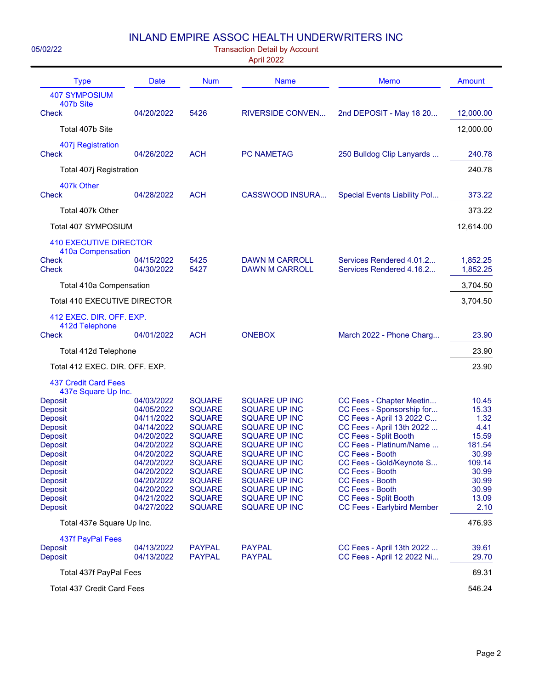## INLAND EMPIRE ASSOC HEALTH UNDERWRITERS INC

| 05/02/22<br><b>Transaction Detail by Account</b><br>April 2022                                                                                                                                                                                                  |                                                                                                                                                                                                  |                                                                                                                                                                                                                                            |                                                                                                                                                                                                                                                                                                                                |                                                                                                                                                                                                                                                                                                                                                                                                           |                                                                                                                                     |  |
|-----------------------------------------------------------------------------------------------------------------------------------------------------------------------------------------------------------------------------------------------------------------|--------------------------------------------------------------------------------------------------------------------------------------------------------------------------------------------------|--------------------------------------------------------------------------------------------------------------------------------------------------------------------------------------------------------------------------------------------|--------------------------------------------------------------------------------------------------------------------------------------------------------------------------------------------------------------------------------------------------------------------------------------------------------------------------------|-----------------------------------------------------------------------------------------------------------------------------------------------------------------------------------------------------------------------------------------------------------------------------------------------------------------------------------------------------------------------------------------------------------|-------------------------------------------------------------------------------------------------------------------------------------|--|
| <b>Type</b>                                                                                                                                                                                                                                                     | Date                                                                                                                                                                                             | <b>Num</b>                                                                                                                                                                                                                                 | <b>Name</b>                                                                                                                                                                                                                                                                                                                    | <b>Memo</b>                                                                                                                                                                                                                                                                                                                                                                                               | Amount                                                                                                                              |  |
| <b>407 SYMPOSIUM</b><br>407b Site<br><b>Check</b>                                                                                                                                                                                                               | 04/20/2022                                                                                                                                                                                       | 5426                                                                                                                                                                                                                                       | <b>RIVERSIDE CONVEN</b>                                                                                                                                                                                                                                                                                                        | 2nd DEPOSIT - May 18 20                                                                                                                                                                                                                                                                                                                                                                                   | 12,000.00                                                                                                                           |  |
| Total 407b Site                                                                                                                                                                                                                                                 |                                                                                                                                                                                                  |                                                                                                                                                                                                                                            |                                                                                                                                                                                                                                                                                                                                |                                                                                                                                                                                                                                                                                                                                                                                                           | 12,000.00                                                                                                                           |  |
| 407j Registration<br><b>Check</b>                                                                                                                                                                                                                               | 04/26/2022                                                                                                                                                                                       | <b>ACH</b>                                                                                                                                                                                                                                 | <b>PC NAMETAG</b>                                                                                                                                                                                                                                                                                                              | 250 Bulldog Clip Lanyards                                                                                                                                                                                                                                                                                                                                                                                 | 240.78                                                                                                                              |  |
| Total 407j Registration                                                                                                                                                                                                                                         |                                                                                                                                                                                                  |                                                                                                                                                                                                                                            |                                                                                                                                                                                                                                                                                                                                |                                                                                                                                                                                                                                                                                                                                                                                                           | 240.78                                                                                                                              |  |
| 407k Other<br><b>Check</b>                                                                                                                                                                                                                                      | 04/28/2022                                                                                                                                                                                       | <b>ACH</b>                                                                                                                                                                                                                                 | CASSWOOD INSURA                                                                                                                                                                                                                                                                                                                | Special Events Liability Pol                                                                                                                                                                                                                                                                                                                                                                              | 373.22                                                                                                                              |  |
| Total 407k Other                                                                                                                                                                                                                                                |                                                                                                                                                                                                  |                                                                                                                                                                                                                                            |                                                                                                                                                                                                                                                                                                                                |                                                                                                                                                                                                                                                                                                                                                                                                           | 373.22                                                                                                                              |  |
| Total 407 SYMPOSIUM                                                                                                                                                                                                                                             |                                                                                                                                                                                                  |                                                                                                                                                                                                                                            |                                                                                                                                                                                                                                                                                                                                |                                                                                                                                                                                                                                                                                                                                                                                                           | 12,614.00                                                                                                                           |  |
| <b>410 EXECUTIVE DIRECTOR</b><br>410a Compensation<br><b>Check</b><br><b>Check</b>                                                                                                                                                                              | 04/15/2022<br>04/30/2022                                                                                                                                                                         | 5425<br>5427                                                                                                                                                                                                                               | DAWN M CARROLL<br><b>DAWN M CARROLL</b>                                                                                                                                                                                                                                                                                        | Services Rendered 4.01.2<br>Services Rendered 4.16.2                                                                                                                                                                                                                                                                                                                                                      | 1,852.25<br>1,852.25                                                                                                                |  |
| Total 410a Compensation                                                                                                                                                                                                                                         |                                                                                                                                                                                                  |                                                                                                                                                                                                                                            |                                                                                                                                                                                                                                                                                                                                |                                                                                                                                                                                                                                                                                                                                                                                                           | 3,704.50                                                                                                                            |  |
| Total 410 EXECUTIVE DIRECTOR                                                                                                                                                                                                                                    |                                                                                                                                                                                                  |                                                                                                                                                                                                                                            |                                                                                                                                                                                                                                                                                                                                |                                                                                                                                                                                                                                                                                                                                                                                                           | 3,704.50                                                                                                                            |  |
| 412 EXEC. DIR. OFF. EXP.                                                                                                                                                                                                                                        |                                                                                                                                                                                                  |                                                                                                                                                                                                                                            |                                                                                                                                                                                                                                                                                                                                |                                                                                                                                                                                                                                                                                                                                                                                                           |                                                                                                                                     |  |
| 412d Telephone<br><b>Check</b>                                                                                                                                                                                                                                  | 04/01/2022                                                                                                                                                                                       | <b>ACH</b>                                                                                                                                                                                                                                 | <b>ONEBOX</b>                                                                                                                                                                                                                                                                                                                  | March 2022 - Phone Charg                                                                                                                                                                                                                                                                                                                                                                                  | 23.90                                                                                                                               |  |
| Total 412d Telephone                                                                                                                                                                                                                                            |                                                                                                                                                                                                  |                                                                                                                                                                                                                                            |                                                                                                                                                                                                                                                                                                                                |                                                                                                                                                                                                                                                                                                                                                                                                           | 23.90                                                                                                                               |  |
| Total 412 EXEC. DIR. OFF. EXP.                                                                                                                                                                                                                                  |                                                                                                                                                                                                  |                                                                                                                                                                                                                                            |                                                                                                                                                                                                                                                                                                                                |                                                                                                                                                                                                                                                                                                                                                                                                           | 23.90                                                                                                                               |  |
| <b>437 Credit Card Fees</b><br>437e Square Up Inc.                                                                                                                                                                                                              |                                                                                                                                                                                                  |                                                                                                                                                                                                                                            |                                                                                                                                                                                                                                                                                                                                |                                                                                                                                                                                                                                                                                                                                                                                                           |                                                                                                                                     |  |
| <b>Deposit</b><br><b>Deposit</b><br><b>Deposit</b><br><b>Deposit</b><br><b>Deposit</b><br>Deposit<br><b>Deposit</b><br><b>Deposit</b><br>Deposit<br>Deposit<br>Deposit<br>Deposit<br>Deposit<br>Total 437e Square Up Inc.<br>437f PayPal Fees<br><b>Deposit</b> | 04/03/2022<br>04/05/2022<br>04/11/2022<br>04/14/2022<br>04/20/2022<br>04/20/2022<br>04/20/2022<br>04/20/2022<br>04/20/2022<br>04/20/2022<br>04/20/2022<br>04/21/2022<br>04/27/2022<br>04/13/2022 | <b>SQUARE</b><br><b>SQUARE</b><br><b>SQUARE</b><br><b>SQUARE</b><br><b>SQUARE</b><br><b>SQUARE</b><br><b>SQUARE</b><br><b>SQUARE</b><br><b>SQUARE</b><br><b>SQUARE</b><br><b>SQUARE</b><br><b>SQUARE</b><br><b>SQUARE</b><br><b>PAYPAL</b> | <b>SQUARE UP INC</b><br><b>SQUARE UP INC</b><br><b>SQUARE UP INC</b><br><b>SQUARE UP INC</b><br><b>SQUARE UP INC</b><br><b>SQUARE UP INC</b><br><b>SQUARE UP INC</b><br><b>SQUARE UP INC</b><br>SQUARE UP INC<br><b>SQUARE UP INC</b><br><b>SQUARE UP INC</b><br><b>SQUARE UP INC</b><br><b>SQUARE UP INC</b><br><b>PAYPAL</b> | CC Fees - Chapter Meetin<br>CC Fees - Sponsorship for<br>CC Fees - April 13 2022 C<br>CC Fees - April 13th 2022<br><b>CC Fees - Split Booth</b><br>CC Fees - Platinum/Name<br><b>CC Fees - Booth</b><br>CC Fees - Gold/Keynote S<br><b>CC Fees - Booth</b><br>CC Fees - Booth<br><b>CC Fees - Booth</b><br><b>CC Fees - Split Booth</b><br><b>CC Fees - Earlybird Member</b><br>CC Fees - April 13th 2022 | 10.45<br>15.33<br>1.32<br>4.41<br>15.59<br>181.54<br>30.99<br>109.14<br>30.99<br>30.99<br>30.99<br>13.09<br>2.10<br>476.93<br>39.61 |  |
| Deposit                                                                                                                                                                                                                                                         | 04/13/2022                                                                                                                                                                                       | <b>PAYPAL</b>                                                                                                                                                                                                                              | <b>PAYPAL</b>                                                                                                                                                                                                                                                                                                                  | CC Fees - April 12 2022 Ni                                                                                                                                                                                                                                                                                                                                                                                | 29.70<br>69.31                                                                                                                      |  |
| Total 437f PayPal Fees                                                                                                                                                                                                                                          |                                                                                                                                                                                                  |                                                                                                                                                                                                                                            |                                                                                                                                                                                                                                                                                                                                |                                                                                                                                                                                                                                                                                                                                                                                                           |                                                                                                                                     |  |
| Total 437 Credit Card Fees                                                                                                                                                                                                                                      |                                                                                                                                                                                                  |                                                                                                                                                                                                                                            |                                                                                                                                                                                                                                                                                                                                |                                                                                                                                                                                                                                                                                                                                                                                                           | 546.24                                                                                                                              |  |